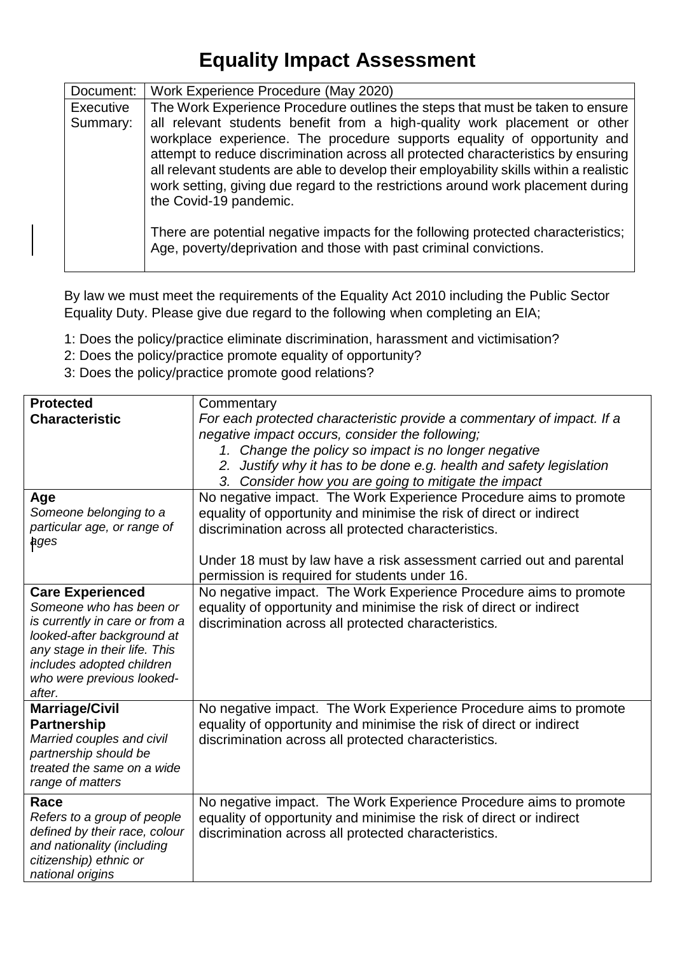## **Equality Impact Assessment**

| Document: | Work Experience Procedure (May 2020)                                                                                                                                                                                                                                                                                                                                                                                                                                                                                                     |  |  |
|-----------|------------------------------------------------------------------------------------------------------------------------------------------------------------------------------------------------------------------------------------------------------------------------------------------------------------------------------------------------------------------------------------------------------------------------------------------------------------------------------------------------------------------------------------------|--|--|
| Executive | The Work Experience Procedure outlines the steps that must be taken to ensure                                                                                                                                                                                                                                                                                                                                                                                                                                                            |  |  |
| Summary:  | all relevant students benefit from a high-quality work placement or other<br>workplace experience. The procedure supports equality of opportunity and<br>attempt to reduce discrimination across all protected characteristics by ensuring<br>all relevant students are able to develop their employability skills within a realistic<br>work setting, giving due regard to the restrictions around work placement during<br>the Covid-19 pandemic.<br>There are potential negative impacts for the following protected characteristics; |  |  |
|           | Age, poverty/deprivation and those with past criminal convictions.                                                                                                                                                                                                                                                                                                                                                                                                                                                                       |  |  |

By law we must meet the requirements of the Equality Act 2010 including the Public Sector Equality Duty. Please give due regard to the following when completing an EIA;

- 1: Does the policy/practice eliminate discrimination, harassment and victimisation?
- 2: Does the policy/practice promote equality of opportunity?
- 3: Does the policy/practice promote good relations?

| <b>Protected</b><br><b>Characteristic</b>                                                                                                                                                                               | Commentary<br>For each protected characteristic provide a commentary of impact. If a<br>negative impact occurs, consider the following;<br>1. Change the policy so impact is no longer negative<br>2. Justify why it has to be done e.g. health and safety legislation<br>3. Consider how you are going to mitigate the impact |
|-------------------------------------------------------------------------------------------------------------------------------------------------------------------------------------------------------------------------|--------------------------------------------------------------------------------------------------------------------------------------------------------------------------------------------------------------------------------------------------------------------------------------------------------------------------------|
| Age<br>Someone belonging to a<br>particular age, or range of<br>ages                                                                                                                                                    | No negative impact. The Work Experience Procedure aims to promote<br>equality of opportunity and minimise the risk of direct or indirect<br>discrimination across all protected characteristics.<br>Under 18 must by law have a risk assessment carried out and parental<br>permission is required for students under 16.      |
| <b>Care Experienced</b><br>Someone who has been or<br>is currently in care or from a<br>looked-after background at<br>any stage in their life. This<br>includes adopted children<br>who were previous looked-<br>after. | No negative impact. The Work Experience Procedure aims to promote<br>equality of opportunity and minimise the risk of direct or indirect<br>discrimination across all protected characteristics.                                                                                                                               |
| <b>Marriage/Civil</b><br><b>Partnership</b><br>Married couples and civil<br>partnership should be<br>treated the same on a wide<br>range of matters                                                                     | No negative impact. The Work Experience Procedure aims to promote<br>equality of opportunity and minimise the risk of direct or indirect<br>discrimination across all protected characteristics.                                                                                                                               |
| Race<br>Refers to a group of people<br>defined by their race, colour<br>and nationality (including<br>citizenship) ethnic or<br>national origins                                                                        | No negative impact. The Work Experience Procedure aims to promote<br>equality of opportunity and minimise the risk of direct or indirect<br>discrimination across all protected characteristics.                                                                                                                               |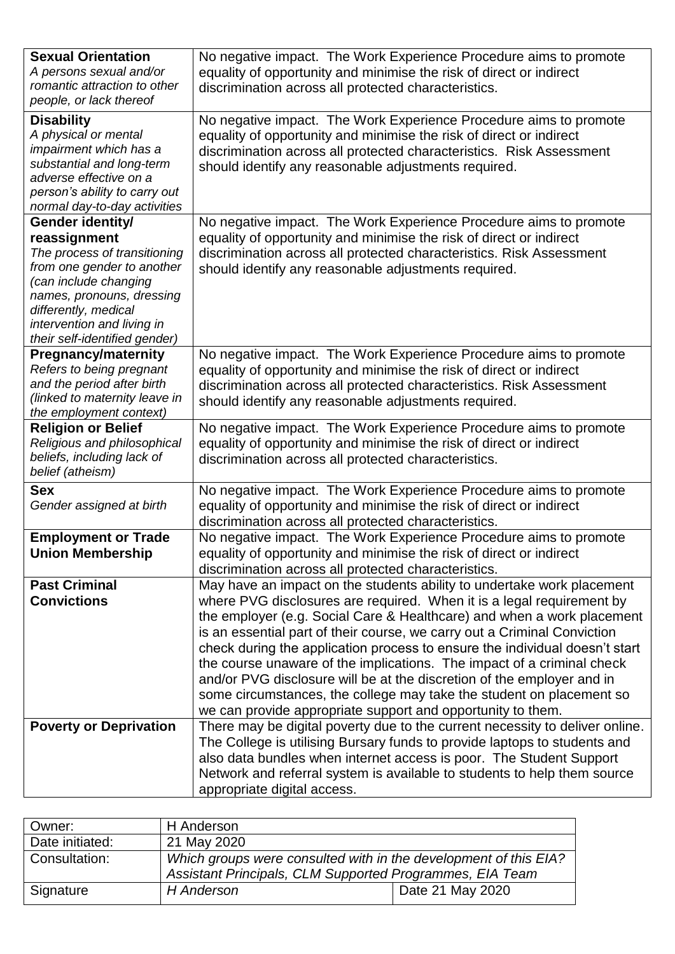| <b>Sexual Orientation</b><br>A persons sexual and/or<br>romantic attraction to other<br>people, or lack thereof                                                                                                                             | No negative impact. The Work Experience Procedure aims to promote<br>equality of opportunity and minimise the risk of direct or indirect<br>discrimination across all protected characteristics.                                                                                                                                                                                                                                                                                                                                                                                                                                                                                |
|---------------------------------------------------------------------------------------------------------------------------------------------------------------------------------------------------------------------------------------------|---------------------------------------------------------------------------------------------------------------------------------------------------------------------------------------------------------------------------------------------------------------------------------------------------------------------------------------------------------------------------------------------------------------------------------------------------------------------------------------------------------------------------------------------------------------------------------------------------------------------------------------------------------------------------------|
| <b>Disability</b><br>A physical or mental<br>impairment which has a<br>substantial and long-term<br>adverse effective on a<br>person's ability to carry out<br>normal day-to-day activities                                                 | No negative impact. The Work Experience Procedure aims to promote<br>equality of opportunity and minimise the risk of direct or indirect<br>discrimination across all protected characteristics. Risk Assessment<br>should identify any reasonable adjustments required.                                                                                                                                                                                                                                                                                                                                                                                                        |
| Gender identity/<br>reassignment<br>The process of transitioning<br>from one gender to another<br>(can include changing<br>names, pronouns, dressing<br>differently, medical<br>intervention and living in<br>their self-identified gender) | No negative impact. The Work Experience Procedure aims to promote<br>equality of opportunity and minimise the risk of direct or indirect<br>discrimination across all protected characteristics. Risk Assessment<br>should identify any reasonable adjustments required.                                                                                                                                                                                                                                                                                                                                                                                                        |
| <b>Pregnancy/maternity</b><br>Refers to being pregnant<br>and the period after birth<br>(linked to maternity leave in<br>the employment context)                                                                                            | No negative impact. The Work Experience Procedure aims to promote<br>equality of opportunity and minimise the risk of direct or indirect<br>discrimination across all protected characteristics. Risk Assessment<br>should identify any reasonable adjustments required.                                                                                                                                                                                                                                                                                                                                                                                                        |
| <b>Religion or Belief</b><br>Religious and philosophical<br>beliefs, including lack of<br>belief (atheism)                                                                                                                                  | No negative impact. The Work Experience Procedure aims to promote<br>equality of opportunity and minimise the risk of direct or indirect<br>discrimination across all protected characteristics.                                                                                                                                                                                                                                                                                                                                                                                                                                                                                |
| <b>Sex</b><br>Gender assigned at birth                                                                                                                                                                                                      | No negative impact. The Work Experience Procedure aims to promote<br>equality of opportunity and minimise the risk of direct or indirect<br>discrimination across all protected characteristics.                                                                                                                                                                                                                                                                                                                                                                                                                                                                                |
| <b>Employment or Trade</b><br><b>Union Membership</b>                                                                                                                                                                                       | No negative impact. The Work Experience Procedure aims to promote<br>equality of opportunity and minimise the risk of direct or indirect<br>discrimination across all protected characteristics.                                                                                                                                                                                                                                                                                                                                                                                                                                                                                |
| <b>Past Criminal</b><br><b>Convictions</b>                                                                                                                                                                                                  | May have an impact on the students ability to undertake work placement<br>where PVG disclosures are required. When it is a legal requirement by<br>the employer (e.g. Social Care & Healthcare) and when a work placement<br>is an essential part of their course, we carry out a Criminal Conviction<br>check during the application process to ensure the individual doesn't start<br>the course unaware of the implications. The impact of a criminal check<br>and/or PVG disclosure will be at the discretion of the employer and in<br>some circumstances, the college may take the student on placement so<br>we can provide appropriate support and opportunity to them. |
| <b>Poverty or Deprivation</b>                                                                                                                                                                                                               | There may be digital poverty due to the current necessity to deliver online.<br>The College is utilising Bursary funds to provide laptops to students and<br>also data bundles when internet access is poor. The Student Support<br>Network and referral system is available to students to help them source<br>appropriate digital access.                                                                                                                                                                                                                                                                                                                                     |

| Owner:               | H Anderson                                                                                                                   |                  |
|----------------------|------------------------------------------------------------------------------------------------------------------------------|------------------|
| Date initiated:      | 21 May 2020                                                                                                                  |                  |
| <b>Consultation:</b> | Which groups were consulted with in the development of this EIA?<br>Assistant Principals, CLM Supported Programmes, EIA Team |                  |
| Signature            | H Anderson                                                                                                                   | Date 21 May 2020 |